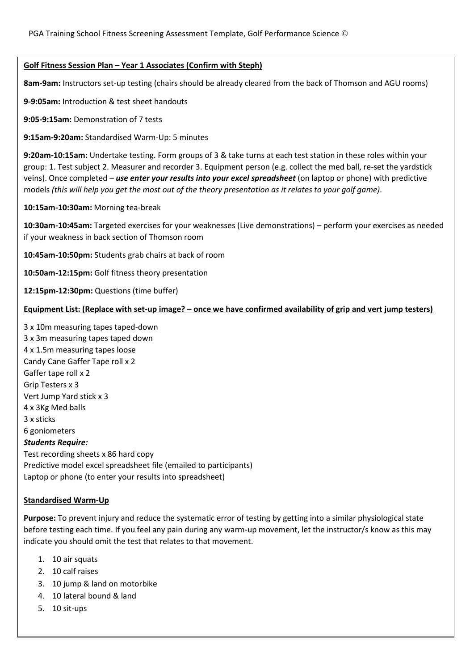## **Golf Fitness Session Plan – Year 1 Associates (Confirm with Steph)**

**8am-9am:** Instructors set-up testing (chairs should be already cleared from the back of Thomson and AGU rooms)

**9-9:05am:** Introduction & test sheet handouts

**9:05-9:15am:** Demonstration of 7 tests

**9:15am-9:20am:** Standardised Warm-Up: 5 minutes

**9:20am-10:15am:** Undertake testing. Form groups of 3 & take turns at each test station in these roles within your group: 1. Test subject 2. Measurer and recorder 3. Equipment person (e.g. collect the med ball, re-set the yardstick veins). Once completed – *use enter your results into your excel spreadsheet* (on laptop or phone) with predictive models *(this will help you get the most out of the theory presentation as it relates to your golf game).*

**10:15am-10:30am:** Morning tea-break

**10:30am-10:45am:** Targeted exercises for your weaknesses (Live demonstrations) – perform your exercises as needed if your weakness in back section of Thomson room

**10:45am-10:50pm:** Students grab chairs at back of room

**10:50am-12:15pm:** Golf fitness theory presentation

**12:15pm-12:30pm:** Questions (time buffer)

## **Equipment List: (Replace with set-up image? – once we have confirmed availability of grip and vert jump testers)**

3 x 10m measuring tapes taped-down 3 x 3m measuring tapes taped down 4 x 1.5m measuring tapes loose Candy Cane Gaffer Tape roll x 2 Gaffer tape roll x 2 Grip Testers x 3 Vert Jump Yard stick x 3 4 x 3Kg Med balls 3 x sticks 6 goniometers *Students Require:* Test recording sheets x 86 hard copy Predictive model excel spreadsheet file (emailed to participants) Laptop or phone (to enter your results into spreadsheet)

## **Standardised Warm-Up**

**Purpose:** To prevent injury and reduce the systematic error of testing by getting into a similar physiological state before testing each time. If you feel any pain during any warm-up movement, let the instructor/s know as this may indicate you should omit the test that relates to that movement.

- 1. 10 air squats
- 2. 10 calf raises
- 3. 10 jump & land on motorbike
- 4. 10 lateral bound & land
- 5. 10 sit-ups